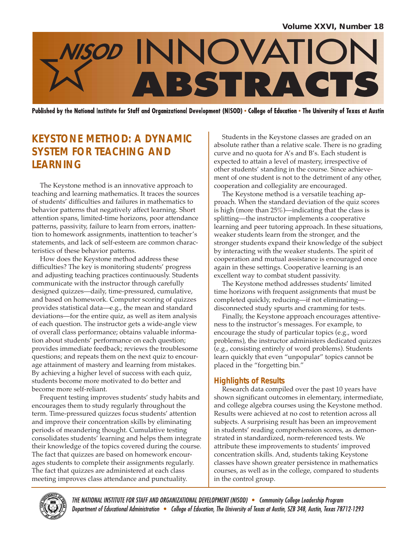

Published by the National Institute for Staff and Organizational Development (NISOD) • College of Education • The University of Texas at Austin

# **KEYSTONE METHOD: A DYNAMIC SYSTEM FOR TEACHING AND LEARNING**

The Keystone method is an innovative approach to teaching and learning mathematics. It traces the sources of students' difficulties and failures in mathematics to behavior patterns that negatively affect learning. Short attention spans, limited-time horizons, poor attendance patterns, passivity, failure to learn from errors, inattention to homework assignments, inattention to teacher's statements, and lack of self-esteem are common characteristics of these behavior patterns.

How does the Keystone method address these difficulties? The key is monitoring students' progress and adjusting teaching practices continuously. Students communicate with the instructor through carefully designed quizzes—daily, time-pressured, cumulative, and based on homework. Computer scoring of quizzes provides statistical data—e.g., the mean and standard deviations—for the entire quiz, as well as item analysis of each question. The instructor gets a wide-angle view of overall class performance; obtains valuable information about students' performance on each question; provides immediate feedback; reviews the troublesome questions; and repeats them on the next quiz to encourage attainment of mastery and learning from mistakes. By achieving a higher level of success with each quiz, students become more motivated to do better and become more self-reliant.

Frequent testing improves students' study habits and encourages them to study regularly throughout the term. Time-pressured quizzes focus students' attention and improve their concentration skills by eliminating periods of meandering thought. Cumulative testing consolidates students' learning and helps them integrate their knowledge of the topics covered during the course. The fact that quizzes are based on homework encourages students to complete their assignments regularly. The fact that quizzes are administered at each class meeting improves class attendance and punctuality.

Students in the Keystone classes are graded on an absolute rather than a relative scale. There is no grading curve and no quota for A's and B's. Each student is expected to attain a level of mastery, irrespective of other students' standing in the course. Since achievement of one student is not to the detriment of any other, cooperation and collegiality are encouraged.

The Keystone method is a versatile teaching approach. When the standard deviation of the quiz scores is high (more than 25%)—indicating that the class is splitting—the instructor implements a cooperative learning and peer tutoring approach. In these situations, weaker students learn from the stronger, and the stronger students expand their knowledge of the subject by interacting with the weaker students. The spirit of cooperation and mutual assistance is encouraged once again in these settings. Cooperative learning is an excellent way to combat student passivity.

The Keystone method addresses students' limited time horizons with frequent assignments that must be completed quickly, reducing—if not eliminating disconnected study spurts and cramming for tests.

Finally, the Keystone approach encourages attentiveness to the instructor's messages. For example, to encourage the study of particular topics (e.g., word problems), the instructor administers dedicated quizzes (e.g., consisting entirely of word problems). Students learn quickly that even "unpopular" topics cannot be placed in the "forgetting bin."

### **Highlights of Results**

Research data compiled over the past 10 years have shown significant outcomes in elementary, intermediate, and college algebra courses using the Keystone method. Results were achieved at no cost to retention across all subjects. A surprising result has been an improvement in students' reading comprehension scores, as demonstrated in standardized, norm-referenced tests. We attribute these improvements to students' improved concentration skills. And, students taking Keystone classes have shown greater persistence in mathematics courses, as well as in the college, compared to students in the control group.



THE NATIONAL INSTITUTE FOR STAFF AND ORGANIZATIONAL DEVELOPMENT (NISOD) · Community College Leadership Program Department of Educational Administration . College of Education, The University of Texas at Austin, SZB 348, Austin, Texas 78712-1293